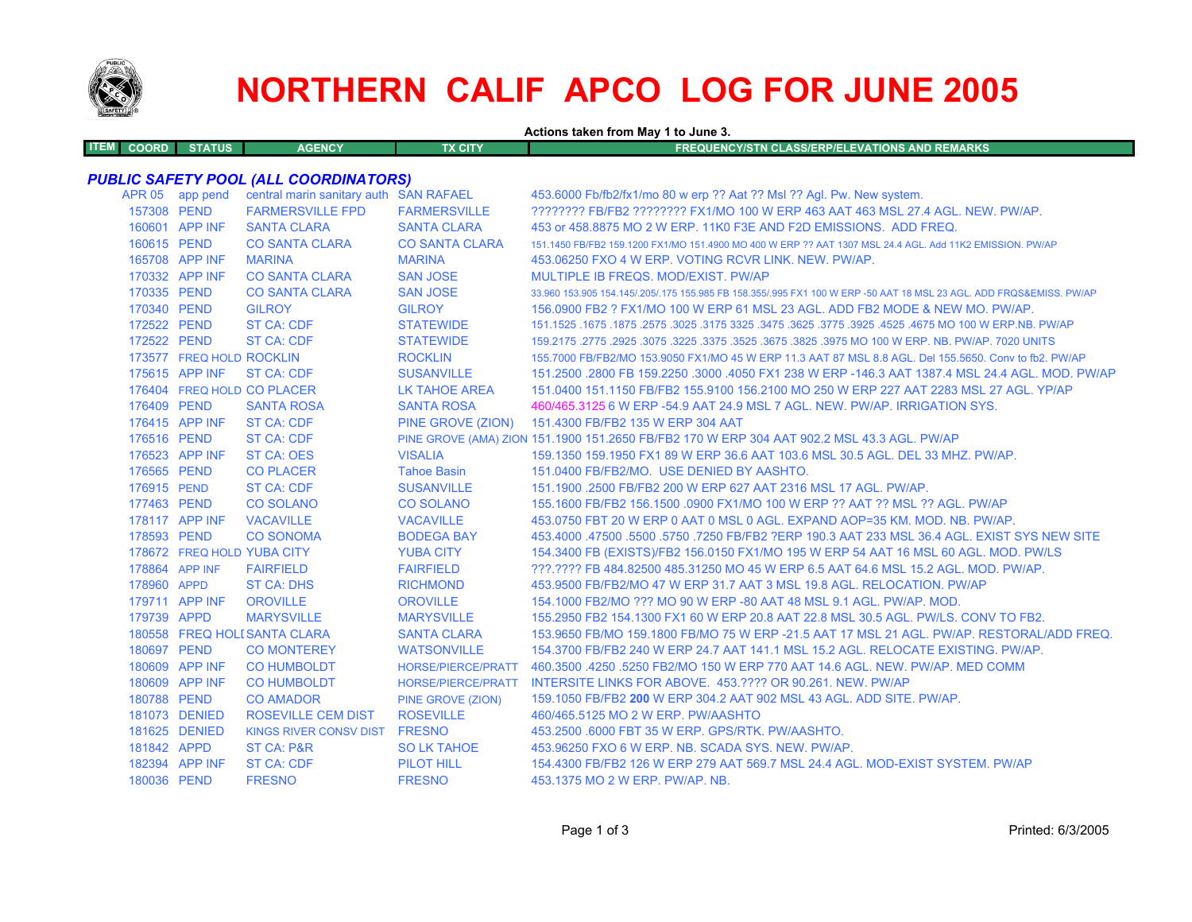

# **NORTHERN CALIF APCO LOG FOR JUNE 2005**

**Actions taken from May 1 to June 3.**

| <b>TEM</b> | LCOORD L | <b>STATUS</b> | <b>AGENCY</b> | TX CITY | FREQUENCY/STN CLASS/ERP/ELEVATIONS AND REMARKS |
|------------|----------|---------------|---------------|---------|------------------------------------------------|
|            |          |               |               |         |                                                |

### *PUBLIC SAFETY POOL (ALL COORDINATORS)*

|                | APR 05 app pend          | central marin sanitary auth SAN RAFAEL |                           | 453.6000 Fb/fb2/fx1/mo 80 w erp ?? Aat ?? Msl ?? Agl. Pw. New system.                                               |
|----------------|--------------------------|----------------------------------------|---------------------------|---------------------------------------------------------------------------------------------------------------------|
| 157308 PEND    |                          | <b>FARMERSVILLE FPD</b>                | <b>FARMERSVILLE</b>       | ???????? FB/FB2 ??????? FX1/MO 100 W ERP 463 AAT 463 MSL 27.4 AGL. NEW. PW/AP.                                      |
|                | 160601 APP INF           | <b>SANTA CLARA</b>                     | <b>SANTA CLARA</b>        | 453 or 458,8875 MO 2 W ERP, 11K0 F3E AND F2D EMISSIONS. ADD FREQ.                                                   |
| 160615 PEND    |                          | <b>CO SANTA CLARA</b>                  | <b>CO SANTA CLARA</b>     | 151.1450 FB/FB2 159.1200 FX1/MO 151.4900 MO 400 W ERP ?? AAT 1307 MSL 24.4 AGL. Add 11K2 EMISSION. PW/AP            |
|                | 165708 APP INF           | <b>MARINA</b>                          | <b>MARINA</b>             | 453.06250 FXO 4 W ERP. VOTING RCVR LINK, NEW, PW/AP.                                                                |
|                | 170332 APP INF           | <b>CO SANTA CLARA</b>                  | <b>SAN JOSE</b>           | MULTIPLE IB FREQS. MOD/EXIST. PW/AP                                                                                 |
| 170335 PEND    |                          | <b>CO SANTA CLARA</b>                  | <b>SAN JOSE</b>           | 33.960 153.905 154.145/.205/.175 155.985 FB 158.355/.995 FX1 100 W ERP -50 AAT 18 MSL 23 AGL. ADD FRQS&EMISS. PW/AP |
| 170340 PEND    |                          | <b>GILROY</b>                          | <b>GILROY</b>             | 156,0900 FB2 ? FX1/MO 100 W ERP 61 MSL 23 AGL, ADD FB2 MODE & NEW MO, PW/AP.                                        |
| 172522 PEND    |                          | <b>ST CA: CDF</b>                      | <b>STATEWIDE</b>          | 151.1525 .1675 .1675 .3025 .4525 .3925 .3775 .3925 .3775 .3925 .3775 .3925 .4525 .1675 .1677 .1625 .1679 .167       |
| 172522 PEND    |                          | <b>ST CA: CDF</b>                      | <b>STATEWIDE</b>          | 159.2175 .2775 .2925 .3075 .3225 .3375 .3625 .3675 .3825 .3975 MO 100 W ERP. NB. PW/AP. 7020 UNITS                  |
|                | 173577 FREQ HOLD ROCKLIN |                                        | <b>ROCKLIN</b>            | 155,7000 FB/FB2/MO 153,9050 FX1/MO 45 W ERP 11.3 AAT 87 MSL 8.8 AGL, Del 155,5650, Conv to fb2, PW/AP               |
|                | 175615 APP INF           | ST CA: CDF                             | <b>SUSANVILLE</b>         | 151.2500 .2800 FB 159.2250 .3000 .4050 FX1 238 W ERP -146.3 AAT 1387.4 MSL 24.4 AGL, MOD, PW/AP                     |
|                |                          | 176404 FREQ HOLD CO PLACER             | <b>LK TAHOE AREA</b>      | 151.0400 151.1150 FB/FB2 155.9100 156.2100 MO 250 W ERP 227 AAT 2283 MSL 27 AGL. YP/AP                              |
| 176409 PEND    |                          | <b>SANTA ROSA</b>                      | <b>SANTA ROSA</b>         | 460/465.3125 6 W ERP -54.9 AAT 24.9 MSL 7 AGL, NEW, PW/AP, IRRIGATION SYS.                                          |
|                | 176415 APP INF           | <b>ST CA: CDF</b>                      | PINE GROVE (ZION)         | 151.4300 FB/FB2 135 W ERP 304 AAT                                                                                   |
| 176516 PEND    |                          | <b>ST CA: CDF</b>                      |                           | PINE GROVE (AMA) ZION 151.1900 151.2650 FB/FB2 170 W ERP 304 AAT 902.2 MSL 43.3 AGL. PW/AP                          |
|                | 176523 APP INF           | <b>ST CA: OES</b>                      | <b>VISALIA</b>            | 159.1350 159.1950 FX1 89 W ERP 36.6 AAT 103.6 MSL 30.5 AGL, DEL 33 MHZ, PW/AP,                                      |
| 176565 PEND    |                          | <b>CO PLACER</b>                       | <b>Tahoe Basin</b>        | 151.0400 FB/FB2/MO. USE DENIED BY AASHTO.                                                                           |
| 176915 PEND    |                          | <b>ST CA: CDF</b>                      | <b>SUSANVILLE</b>         | 151.1900 .2500 FB/FB2 200 W ERP 627 AAT 2316 MSL 17 AGL, PW/AP.                                                     |
| 177463 PEND    |                          | <b>CO SOLANO</b>                       | <b>CO SOLANO</b>          | 155.1600 FB/FB2 156.1500 .0900 FX1/MO 100 W ERP ?? AAT ?? MSL ?? AGL. PW/AP                                         |
|                | 178117 APP INF           | <b>VACAVILLE</b>                       | <b>VACAVILLE</b>          | 453.0750 FBT 20 W ERP 0 AAT 0 MSL 0 AGL. EXPAND AOP=35 KM, MOD, NB, PW/AP,                                          |
| 178593 PEND    |                          | <b>CO SONOMA</b>                       | <b>BODEGA BAY</b>         | 453.4000 .47500 .5500 .5750 .7250 FB/FB2 ?ERP 190.3 AAT 233 MSL 36.4 AGL. EXIST SYS NEW SITE                        |
|                |                          | 178672 FREQ HOLD YUBA CITY             | <b>YUBA CITY</b>          | 154.3400 FB (EXISTS)/FB2 156.0150 FX1/MO 195 W ERP 54 AAT 16 MSL 60 AGL. MOD. PW/LS                                 |
| 178864 APP INF |                          | <b>FAIRFIELD</b>                       | <b>FAIRFIELD</b>          | 222.2222 FB 484.82500 485.31250 MO 45 W ERP 6.5 AAT 64.6 MSL 15.2 AGL, MOD, PW/AP,                                  |
| 178960 APPD    |                          | <b>ST CA: DHS</b>                      | <b>RICHMOND</b>           | 453,9500 FB/FB2/MO 47 W ERP 31.7 AAT 3 MSL 19.8 AGL. RELOCATION, PW/AP                                              |
|                | 179711 APP INF           | <b>OROVILLE</b>                        | <b>OROVILLE</b>           | 154,1000 FB2/MO ??? MO 90 W ERP -80 AAT 48 MSL 9.1 AGL, PW/AP, MOD.                                                 |
| 179739 APPD    |                          | <b>MARYSVILLE</b>                      | <b>MARYSVILLE</b>         | 155,2950 FB2 154,1300 FX1 60 W ERP 20.8 AAT 22.8 MSL 30.5 AGL, PW/LS, CONV TO FB2.                                  |
|                |                          | 180558 FREQ HOLI SANTA CLARA           | <b>SANTA CLARA</b>        | 153.9650 FB/MO 159.1800 FB/MO 75 W ERP -21.5 AAT 17 MSL 21 AGL. PW/AP. RESTORAL/ADD FREQ.                           |
| 180697 PEND    |                          | <b>CO MONTEREY</b>                     | <b>WATSONVILLE</b>        | 154.3700 FB/FB2 240 W ERP 24.7 AAT 141.1 MSL 15.2 AGL. RELOCATE EXISTING. PW/AP.                                    |
|                | 180609 APP INF           | <b>CO HUMBOLDT</b>                     | <b>HORSE/PIERCE/PRATT</b> | 460.3500 .4250 .5250 FB2/MO 150 W ERP 770 AAT 14.6 AGL. NEW. PW/AP. MED COMM                                        |
|                | 180609 APP INF           | <b>CO HUMBOLDT</b>                     | HORSE/PIERCE/PRATT        | INTERSITE LINKS FOR ABOVE. 453.???? OR 90.261. NEW. PW/AP                                                           |
| 180788 PEND    |                          | <b>CO AMADOR</b>                       | PINE GROVE (ZION)         | 159.1050 FB/FB2 200 W ERP 304.2 AAT 902 MSL 43 AGL. ADD SITE. PW/AP.                                                |
|                | 181073 DENIED            | <b>ROSEVILLE CEM DIST</b>              | <b>ROSEVILLE</b>          | 460/465.5125 MO 2 W ERP. PW/AASHTO                                                                                  |
|                | 181625 DENIED            | <b>KINGS RIVER CONSV DIST</b>          | <b>FRESNO</b>             | 453.2500 .6000 FBT 35 W ERP. GPS/RTK, PW/AASHTO.                                                                    |
| 181842 APPD    |                          | ST CA: P&R                             | <b>SO LK TAHOE</b>        | 453.96250 FXO 6 W ERP. NB. SCADA SYS. NEW. PW/AP.                                                                   |
|                | 182394 APP INF           | <b>ST CA: CDF</b>                      | PILOT HILL                | 154,4300 FB/FB2 126 W ERP 279 AAT 569.7 MSL 24.4 AGL, MOD-EXIST SYSTEM, PW/AP                                       |
| 180036 PEND    |                          | <b>FRESNO</b>                          | <b>FRESNO</b>             | 453.1375 MO 2 W ERP. PW/AP. NB.                                                                                     |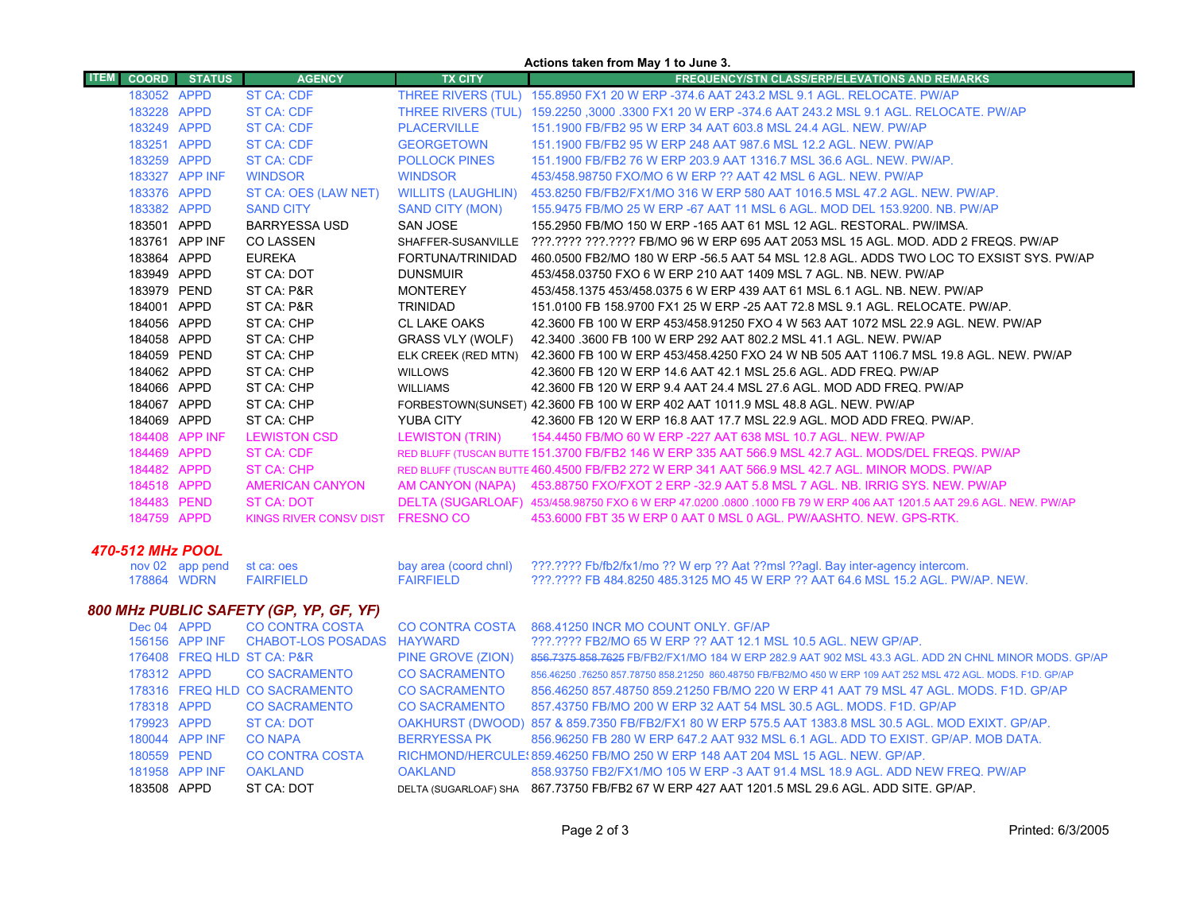|             |              |                |                               |                           | Actions taken from May 1 to June 3.                                                                                 |
|-------------|--------------|----------------|-------------------------------|---------------------------|---------------------------------------------------------------------------------------------------------------------|
| <b>ITEM</b> | <b>COORD</b> | <b>STATUS</b>  | <b>AGENCY</b>                 | <b>TX CITY</b>            | <b>FREQUENCY/STN CLASS/ERP/ELEVATIONS AND REMARKS</b>                                                               |
|             | 183052 APPD  |                | <b>ST CA: CDF</b>             | THREE RIVERS (TUL)        | 155,8950 FX1 20 W ERP -374.6 AAT 243.2 MSL 9.1 AGL, RELOCATE, PW/AP                                                 |
|             | 183228 APPD  |                | ST CA: CDF                    | THREE RIVERS (TUL)        | 159.2250 ,3000 .3300 FX1 20 W ERP -374.6 AAT 243.2 MSL 9.1 AGL. RELOCATE. PW/AP                                     |
|             | 183249 APPD  |                | <b>ST CA: CDF</b>             | <b>PLACERVILLE</b>        | 151.1900 FB/FB2 95 W ERP 34 AAT 603.8 MSL 24.4 AGL, NEW, PW/AP                                                      |
|             | 183251 APPD  |                | ST CA: CDF                    | <b>GEORGETOWN</b>         | 151.1900 FB/FB2 95 W ERP 248 AAT 987.6 MSL 12.2 AGL, NEW, PW/AP                                                     |
|             | 183259 APPD  |                | <b>ST CA: CDF</b>             | <b>POLLOCK PINES</b>      | 151.1900 FB/FB2 76 W ERP 203.9 AAT 1316.7 MSL 36.6 AGL, NEW, PW/AP.                                                 |
|             |              | 183327 APP INF | <b>WINDSOR</b>                | <b>WINDSOR</b>            | 453/458.98750 FXO/MO 6 W ERP ?? AAT 42 MSL 6 AGL, NEW, PW/AP                                                        |
|             | 183376 APPD  |                | ST CA: OES (LAW NET)          | <b>WILLITS (LAUGHLIN)</b> | 453.8250 FB/FB2/FX1/MO 316 W ERP 580 AAT 1016.5 MSL 47.2 AGL, NEW, PW/AP,                                           |
|             | 183382 APPD  |                | <b>SAND CITY</b>              | SAND CITY (MON)           | 155,9475 FB/MO 25 W ERP -67 AAT 11 MSL 6 AGL, MOD DEL 153,9200, NB, PW/AP                                           |
|             | 183501 APPD  |                | <b>BARRYESSA USD</b>          | SAN JOSE                  | 155.2950 FB/MO 150 W ERP -165 AAT 61 MSL 12 AGL. RESTORAL. PW/IMSA.                                                 |
|             |              | 183761 APP INF | <b>CO LASSEN</b>              | SHAFFER-SUSANVILLE        | ???.???? ???.???? FB/MO 96 W ERP 695 AAT 2053 MSL 15 AGL. MOD. ADD 2 FREQS. PW/AP                                   |
|             | 183864 APPD  |                | <b>EUREKA</b>                 | FORTUNA/TRINIDAD          | 460,0500 FB2/MO 180 W ERP -56.5 AAT 54 MSL 12.8 AGL. ADDS TWO LOC TO EXSIST SYS. PW/AP                              |
|             | 183949 APPD  |                | ST CA: DOT                    | <b>DUNSMUIR</b>           | 453/458 03750 FXO 6 W ERP 210 AAT 1409 MSL 7 AGL, NB, NEW, PW/AP                                                    |
|             | 183979 PEND  |                | ST CA: P&R                    | <b>MONTEREY</b>           | 453/458 1375 453/458 0375 6 W ERP 439 AAT 61 MSL 6.1 AGL, NB, NEW, PW/AP                                            |
|             | 184001 APPD  |                | ST CA: P&R                    | <b>TRINIDAD</b>           | 151,0100 FB 158,9700 FX1 25 W ERP -25 AAT 72.8 MSL 9.1 AGL, RELOCATE, PW/AP.                                        |
|             | 184056 APPD  |                | ST CA: CHP                    | <b>CL LAKE OAKS</b>       | 42.3600 FB 100 W ERP 453/458.91250 FXO 4 W 563 AAT 1072 MSL 22.9 AGL. NEW, PW/AP                                    |
|             | 184058 APPD  |                | ST CA: CHP                    | <b>GRASS VLY (WOLF)</b>   | 42.3400 .3600 FB 100 W ERP 292 AAT 802.2 MSL 41.1 AGL, NEW, PW/AP                                                   |
|             | 184059 PEND  |                | ST CA: CHP                    | ELK CREEK (RED MTN)       | 42.3600 FB 100 W ERP 453/458.4250 FXO 24 W NB 505 AAT 1106.7 MSL 19.8 AGL. NEW. PW/AP                               |
|             | 184062 APPD  |                | ST CA: CHP                    | <b>WILLOWS</b>            | 42.3600 FB 120 W ERP 14.6 AAT 42.1 MSL 25.6 AGL, ADD FREQ, PW/AP                                                    |
|             | 184066 APPD  |                | ST CA: CHP                    | <b>WILLIAMS</b>           | 42.3600 FB 120 W ERP 9.4 AAT 24.4 MSL 27.6 AGL, MOD ADD FREQ, PW/AP                                                 |
|             | 184067 APPD  |                | ST CA: CHP                    |                           | FORBESTOWN(SUNSET) 42.3600 FB 100 W ERP 402 AAT 1011.9 MSL 48.8 AGL. NEW. PW/AP                                     |
|             | 184069 APPD  |                | ST CA: CHP                    | YUBA CITY                 | 42.3600 FB 120 W ERP 16.8 AAT 17.7 MSL 22.9 AGL, MOD ADD FREQ, PW/AP.                                               |
|             |              | 184408 APP INF | <b>LEWISTON CSD</b>           | <b>LEWISTON (TRIN)</b>    | 154,4450 FB/MO 60 W ERP -227 AAT 638 MSL 10.7 AGL, NEW, PW/AP                                                       |
|             | 184469 APPD  |                | <b>ST CA: CDF</b>             |                           | RED BLUFF (TUSCAN BUTTE 151.3700 FB/FB2 146 W ERP 335 AAT 566.9 MSL 42.7 AGL, MODS/DEL FREQS, PW/AP                 |
|             | 184482 APPD  |                | ST CA: CHP                    |                           | RED BLUFF (TUSCAN BUTTE 460.4500 FB/FB2 272 W ERP 341 AAT 566.9 MSL 42.7 AGL, MINOR MODS, PW/AP                     |
|             | 184518 APPD  |                | <b>AMERICAN CANYON</b>        |                           | AM CANYON (NAPA) 453.88750 FXO/FXOT 2 ERP -32.9 AAT 5.8 MSL 7 AGL. NB. IRRIG SYS. NEW. PW/AP                        |
|             | 184483 PEND  |                | ST CA: DOT                    |                           | DELTA (SUGARLOAF) 453/458.98750 FXO 6 W ERP 47.0200 .0800 .1000 FB 79 W ERP 406 AAT 1201.5 AAT 29.6 AGL. NEW, PW/AP |
|             | 184759 APPD  |                | <b>KINGS RIVER CONSV DIST</b> | <b>FRESNO CO</b>          | 453,6000 FBT 35 W ERP 0 AAT 0 MSL 0 AGL, PW/AASHTO, NEW, GPS-RTK.                                                   |
|             |              |                |                               |                           |                                                                                                                     |

#### *470-512 MHz POOL*

|  | nov 02 app pend st ca: oes |           | bay area (coord chnl) 2??.???? Fb/fb2/fx1/mo ?? W erp ?? Aat ??msl ??agl. Bay inter-agency intercom. |
|--|----------------------------|-----------|------------------------------------------------------------------------------------------------------|
|  | 178864 WDRN FAIRFIELD      | FAIRFIELD | ???.???? FB 484.8250 485.3125 MO 45 W ERP ?? AAT 64.6 MSL 15.2 AGL. PW/AP. NEW.                      |

# *800 MHz PUBLIC SAFETY (GP, YP, GF, YF)*

| Dec 04 APPD |                | CO CONTRA COSTA                           | <b>CO CONTRA COSTA</b> | 868.41250 INCR MO COUNT ONLY. GF/AP                                                                          |
|-------------|----------------|-------------------------------------------|------------------------|--------------------------------------------------------------------------------------------------------------|
|             |                | 156156 APP INF CHABOT-LOS POSADAS HAYWARD |                        | ???.???? FB2/MO 65 W ERP ?? AAT 12.1 MSL 10.5 AGL. NEW GP/AP.                                                |
|             |                | 176408 FREQ HLD ST CA: P&R                | PINE GROVE (ZION)      | 856,7375 858,7625 FB/FB2/FX1/MO 184 W ERP 282.9 AAT 902 MSL 43.3 AGL, ADD 2N CHNL MINOR MODS, GP/AP          |
| 178312 APPD |                | CO SACRAMENTO                             | <b>CO SACRAMENTO</b>   | 856.46250 .76250 857.78750 858.21250 860.48750 FB/FB2/MO 450 W ERP 109 AAT 252 MSL 472 AGL. MODS. F1D. GP/AP |
|             |                | 178316 FREQ HLD CO SACRAMENTO             | <b>CO SACRAMENTO</b>   | 856.46250 857.48750 859.21250 FB/MO 220 W ERP 41 AAT 79 MSL 47 AGL. MODS, F1D, GP/AP                         |
| 178318 APPD |                | CO SACRAMENTO                             | <b>CO SACRAMENTO</b>   | 857.43750 FB/MO 200 W ERP 32 AAT 54 MSL 30.5 AGL, MODS, F1D, GP/AP                                           |
| 179923 APPD |                | ST CA: DOT                                |                        | OAKHURST (DWOOD) 857 & 859.7350 FB/FB2/FX1 80 W ERP 575.5 AAT 1383.8 MSL 30.5 AGL. MOD EXIXT. GP/AP.         |
|             | 180044 APP INF | <b>CO NAPA</b>                            | BERRYESSA PK           | 856.96250 FB 280 W ERP 647.2 AAT 932 MSL 6.1 AGL. ADD TO EXIST. GP/AP. MOB DATA.                             |
| 180559 PEND |                | <b>CO CONTRA COSTA</b>                    |                        | RICHMOND/HERCULE: 859.46250 FB/MO 250 W ERP 148 AAT 204 MSL 15 AGL. NEW. GP/AP.                              |
|             | 181958 APP INF | OAKLAND                                   | OAKLAND                | 858.93750 FB2/FX1/MO 105 W ERP -3 AAT 91.4 MSL 18.9 AGL. ADD NEW FREQ. PW/AP                                 |
| 183508 APPD |                | ST CA: DOT                                |                        | DELTA (SUGARLOAF) SHA 867.73750 FB/FB2 67 W ERP 427 AAT 1201.5 MSL 29.6 AGL. ADD SITE. GP/AP.                |